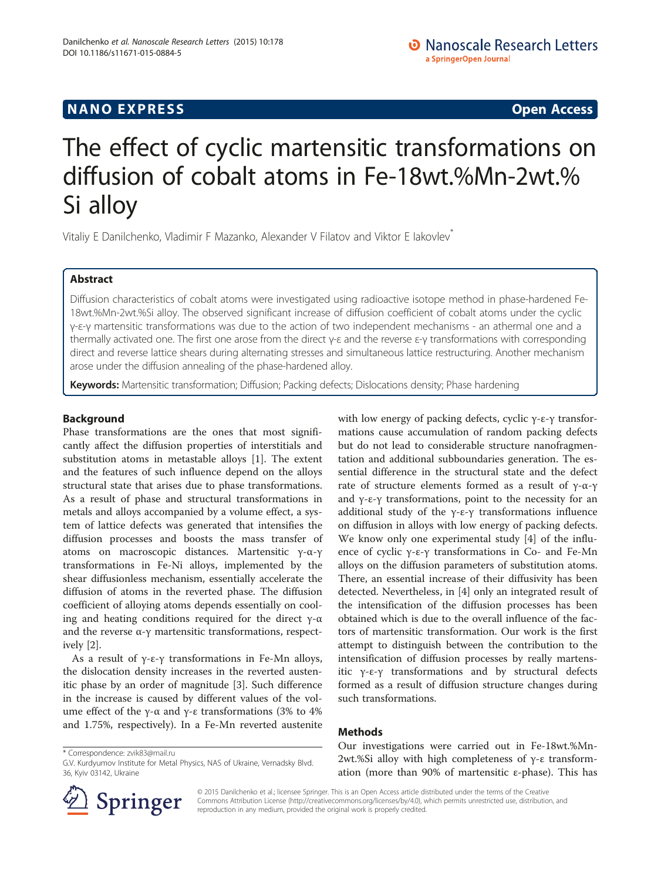## **NANO EXPRESS** Open Access **CONTROL**

# The effect of cyclic martensitic transformations on diffusion of cobalt atoms in Fe-18wt.%Mn-2wt.% Si alloy

Vitaliy E Danilchenko, Vladimir F Mazanko, Alexander V Filatov and Viktor E Iakovlev\*

## Abstract

Diffusion characteristics of cobalt atoms were investigated using radioactive isotope method in phase-hardened Fe-18wt.%Mn-2wt.%Si alloy. The observed significant increase of diffusion coefficient of cobalt atoms under the cyclic γ-ε-γ martensitic transformations was due to the action of two independent mechanisms - an athermal one and a thermally activated one. The first one arose from the direct γ-ε and the reverse ε-γ transformations with corresponding direct and reverse lattice shears during alternating stresses and simultaneous lattice restructuring. Another mechanism arose under the diffusion annealing of the phase-hardened alloy.

Keywords: Martensitic transformation; Diffusion; Packing defects; Dislocations density; Phase hardening

## Background

Phase transformations are the ones that most significantly affect the diffusion properties of interstitials and substitution atoms in metastable alloys [[1\]](#page-3-0). The extent and the features of such influence depend on the alloys structural state that arises due to phase transformations. As a result of phase and structural transformations in metals and alloys accompanied by a volume effect, a system of lattice defects was generated that intensifies the diffusion processes and boosts the mass transfer of atoms on macroscopic distances. Martensitic γ-α-γ transformations in Fe-Ni alloys, implemented by the shear diffusionless mechanism, essentially accelerate the diffusion of atoms in the reverted phase. The diffusion coefficient of alloying atoms depends essentially on cooling and heating conditions required for the direct  $γ$ -α and the reverse  $\alpha$ -γ martensitic transformations, respectively [\[2](#page-3-0)].

As a result of  $γ$ -ε-γ transformations in Fe-Mn alloys, the dislocation density increases in the reverted austenitic phase by an order of magnitude [\[3\]](#page-3-0). Such difference in the increase is caused by different values of the volume effect of the γ-α and γ-ε transformations (3% to 4%) and 1.75%, respectively). In a Fe-Mn reverted austenite with low energy of packing defects, cyclic  $\gamma$ -ε-γ transformations cause accumulation of random packing defects but do not lead to considerable structure nanofragmentation and additional subboundaries generation. The essential difference in the structural state and the defect rate of structure elements formed as a result of γ-α-γ and  $\gamma$ -ε-γ transformations, point to the necessity for an additional study of the γ-ε-γ transformations influence on diffusion in alloys with low energy of packing defects. We know only one experimental study [[4](#page-3-0)] of the influence of cyclic γ-ε-γ transformations in Co- and Fe-Mn alloys on the diffusion parameters of substitution atoms. There, an essential increase of their diffusivity has been detected. Nevertheless, in [[4\]](#page-3-0) only an integrated result of the intensification of the diffusion processes has been obtained which is due to the overall influence of the factors of martensitic transformation. Our work is the first attempt to distinguish between the contribution to the intensification of diffusion processes by really martensitic γ-ε-γ transformations and by structural defects formed as a result of diffusion structure changes during such transformations.

#### Methods

Our investigations were carried out in Fe-18wt.%Mn-2wt.%Si alloy with high completeness of γ-ε transformation (more than 90% of martensitic ε-phase). This has



© 2015 Danilchenko et al.; licensee Springer. This is an Open Access article distributed under the terms of the Creative Commons Attribution License (<http://creativecommons.org/licenses/by/4.0>), which permits unrestricted use, distribution, and reproduction in any medium, provided the original work is properly credited.

<sup>\*</sup> Correspondence: [zvik83@mail.ru](mailto:zvik83@mail.ru)

G.V. Kurdyumov Institute for Metal Physics, NAS of Ukraine, Vernadsky Blvd. 36, Kyiv 03142, Ukraine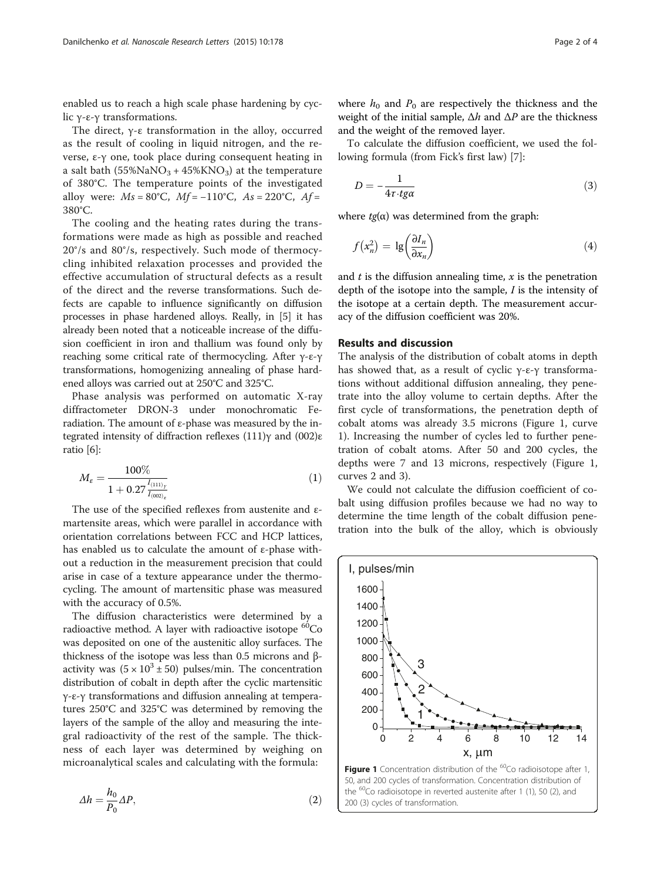enabled us to reach a high scale phase hardening by cyclic γ-ε-γ transformations.

The direct, γ-ε transformation in the alloy, occurred as the result of cooling in liquid nitrogen, and the reverse, ε-γ one, took place during consequent heating in a salt bath  $(55\%NaNO<sub>3</sub> + 45\%KNO<sub>3</sub>)$  at the temperature of 380°C. The temperature points of the investigated alloy were:  $Ms = 80^{\circ}C$ ,  $Mf = -110^{\circ}C$ ,  $As = 220^{\circ}C$ ,  $Af =$ 380°C.

The cooling and the heating rates during the transformations were made as high as possible and reached 20°/s and 80°/s, respectively. Such mode of thermocycling inhibited relaxation processes and provided the effective accumulation of structural defects as a result of the direct and the reverse transformations. Such defects are capable to influence significantly on diffusion processes in phase hardened alloys. Really, in [[5\]](#page-3-0) it has already been noted that a noticeable increase of the diffusion coefficient in iron and thallium was found only by reaching some critical rate of thermocycling. After γ-ε-γ transformations, homogenizing annealing of phase hardened alloys was carried out at 250°C and 325°C.

Phase analysis was performed on automatic X-ray diffractometer DRON-3 under monochromatic Feradiation. The amount of ε-phase was measured by the integrated intensity of diffraction reflexes (111)γ and (002)ε ratio [[6\]](#page-3-0):

$$
M_{\varepsilon} = \frac{100\%}{1 + 0.27 \frac{I_{(111)_y}}{I_{(002)_\varepsilon}}}
$$
(1)

The use of the specified reflexes from austenite and εmartensite areas, which were parallel in accordance with orientation correlations between FCC and HCP lattices, has enabled us to calculate the amount of ε-phase without a reduction in the measurement precision that could arise in case of a texture appearance under the thermocycling. The amount of martensitic phase was measured with the accuracy of 0.5%.

The diffusion characteristics were determined by a radioactive method. A layer with radioactive isotope  ${}^{60}Co$ was deposited on one of the austenitic alloy surfaces. The thickness of the isotope was less than 0.5 microns and βactivity was  $(5 \times 10^3 \pm 50)$  pulses/min. The concentration distribution of cobalt in depth after the cyclic martensitic γ-ε-γ transformations and diffusion annealing at temperatures 250°C and 325°C was determined by removing the layers of the sample of the alloy and measuring the integral radioactivity of the rest of the sample. The thickness of each layer was determined by weighing on microanalytical scales and calculating with the formula:

$$
\Delta h = \frac{h_0}{P_0} \Delta P,\tag{2}
$$

where  $h_0$  and  $P_0$  are respectively the thickness and the weight of the initial sample,  $\Delta h$  and  $\Delta P$  are the thickness and the weight of the removed layer.

To calculate the diffusion coefficient, we used the following formula (from Fick's first law) [\[7\]](#page-3-0):

$$
D = -\frac{1}{4\tau \cdot t\mathfrak{g}\alpha} \tag{3}
$$

where  $tg(\alpha)$  was determined from the graph:

$$
f(x_n^2) = \lg\left(\frac{\partial I_n}{\partial x_n}\right) \tag{4}
$$

and  $t$  is the diffusion annealing time,  $x$  is the penetration depth of the isotope into the sample, I is the intensity of the isotope at a certain depth. The measurement accuracy of the diffusion coefficient was 20%.

#### Results and discussion

The analysis of the distribution of cobalt atoms in depth has showed that, as a result of cyclic  $γ$ -ε-γ transformations without additional diffusion annealing, they penetrate into the alloy volume to certain depths. After the first cycle of transformations, the penetration depth of cobalt atoms was already 3.5 microns (Figure 1, curve 1). Increasing the number of cycles led to further penetration of cobalt atoms. After 50 and 200 cycles, the depths were 7 and 13 microns, respectively (Figure 1, curves 2 and 3).

We could not calculate the diffusion coefficient of cobalt using diffusion profiles because we had no way to determine the time length of the cobalt diffusion penetration into the bulk of the alloy, which is obviously

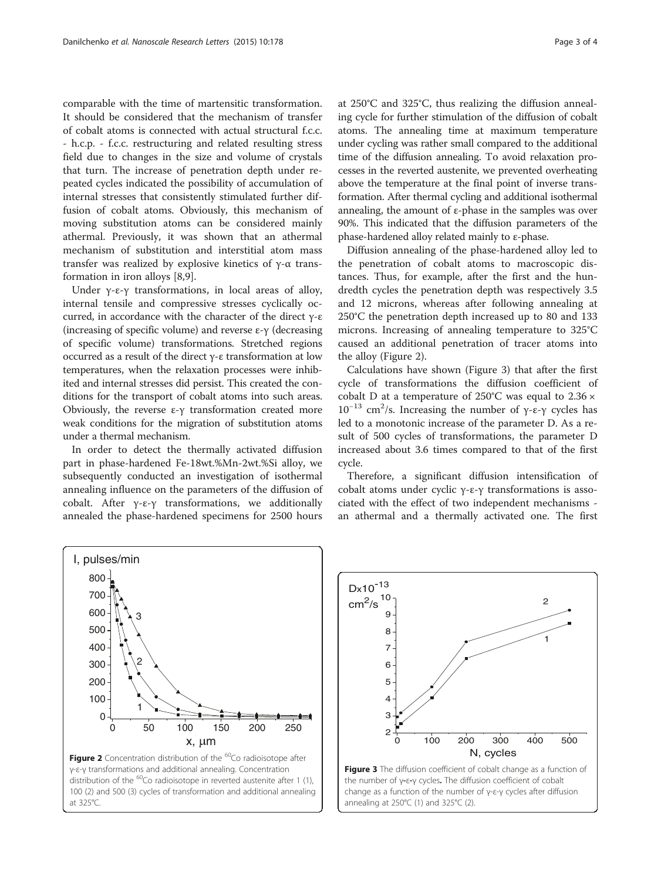comparable with the time of martensitic transformation. It should be considered that the mechanism of transfer of cobalt atoms is connected with actual structural f.c.c. - h.c.p. - f.c.c. restructuring and related resulting stress field due to changes in the size and volume of crystals that turn. The increase of penetration depth under repeated cycles indicated the possibility of accumulation of internal stresses that consistently stimulated further diffusion of cobalt atoms. Obviously, this mechanism of moving substitution atoms can be considered mainly athermal. Previously, it was shown that an athermal mechanism of substitution and interstitial atom mass transfer was realized by explosive kinetics of γ-α transformation in iron alloys [[8,9\]](#page-3-0).

Under γ-ε-γ transformations, in local areas of alloy, internal tensile and compressive stresses cyclically occurred, in accordance with the character of the direct γ-ε (increasing of specific volume) and reverse  $\varepsilon$ -γ (decreasing of specific volume) transformations. Stretched regions occurred as a result of the direct γ-ε transformation at low temperatures, when the relaxation processes were inhibited and internal stresses did persist. This created the conditions for the transport of cobalt atoms into such areas. Obviously, the reverse ε-γ transformation created more weak conditions for the migration of substitution atoms under a thermal mechanism.

In order to detect the thermally activated diffusion part in phase-hardened Fe-18wt.%Mn-2wt.%Si alloy, we subsequently conducted an investigation of isothermal annealing influence on the parameters of the diffusion of cobalt. After γ-ε-γ transformations, we additionally annealed the phase-hardened specimens for 2500 hours

at 250°C and 325°C, thus realizing the diffusion annealing cycle for further stimulation of the diffusion of cobalt atoms. The annealing time at maximum temperature under cycling was rather small compared to the additional time of the diffusion annealing. To avoid relaxation processes in the reverted austenite, we prevented overheating above the temperature at the final point of inverse transformation. After thermal cycling and additional isothermal annealing, the amount of  $\varepsilon$ -phase in the samples was over 90%. This indicated that the diffusion parameters of the phase-hardened alloy related mainly to ε-phase.

Diffusion annealing of the phase-hardened alloy led to the penetration of cobalt atoms to macroscopic distances. Thus, for example, after the first and the hundredth cycles the penetration depth was respectively 3.5 and 12 microns, whereas after following annealing at 250°C the penetration depth increased up to 80 and 133 microns. Increasing of annealing temperature to 325°C caused an additional penetration of tracer atoms into the alloy (Figure 2).

Calculations have shown (Figure 3) that after the first cycle of transformations the diffusion coefficient of cobalt D at a temperature of 250°C was equal to 2.36 × 10<sup>-13</sup> cm<sup>2</sup>/s. Increasing the number of γ-ε-γ cycles has led to a monotonic increase of the parameter D. As a result of 500 cycles of transformations, the parameter D increased about 3.6 times compared to that of the first cycle.

Therefore, a significant diffusion intensification of cobalt atoms under cyclic γ-ε-γ transformations is associated with the effect of two independent mechanisms an athermal and a thermally activated one. The first